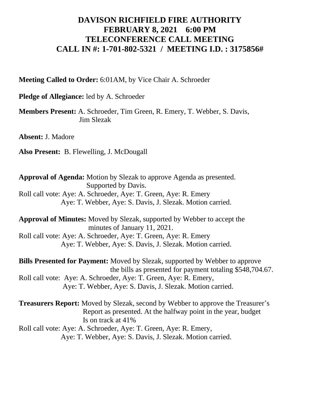## **DAVISON RICHFIELD FIRE AUTHORITY FEBRUARY 8, 2021 6:00 PM TELECONFERENCE CALL MEETING CALL IN #: 1-701-802-5321 / MEETING I.D. : 3175856#**

**Meeting Called to Order:** 6:01AM, by Vice Chair A. Schroeder

**Pledge of Allegiance:** led by A. Schroeder

**Members Present:** A. Schroeder, Tim Green, R. Emery, T. Webber, S. Davis, Jim Slezak

**Absent:** J. Madore

**Also Present:** B. Flewelling, J. McDougall

**Approval of Agenda:** Motion by Slezak to approve Agenda as presented. Supported by Davis. Roll call vote: Aye: A. Schroeder, Aye: T. Green, Aye: R. Emery Aye: T. Webber, Aye: S. Davis, J. Slezak. Motion carried.

**Approval of Minutes:** Moved by Slezak, supported by Webber to accept the minutes of January 11, 2021. Roll call vote: Aye: A. Schroeder, Aye: T. Green, Aye: R. Emery Aye: T. Webber, Aye: S. Davis, J. Slezak. Motion carried.

**Bills Presented for Payment:** Moved by Slezak, supported by Webber to approve the bills as presented for payment totaling \$548,704.67. Roll call vote: Aye: A. Schroeder, Aye: T. Green, Aye: R. Emery, Aye: T. Webber, Aye: S. Davis, J. Slezak. Motion carried.

**Treasurers Report:** Moved by Slezak, second by Webber to approve the Treasurer's Report as presented. At the halfway point in the year, budget Is on track at 41% Roll call vote: Aye: A. Schroeder, Aye: T. Green, Aye: R. Emery,

Aye: T. Webber, Aye: S. Davis, J. Slezak. Motion carried.